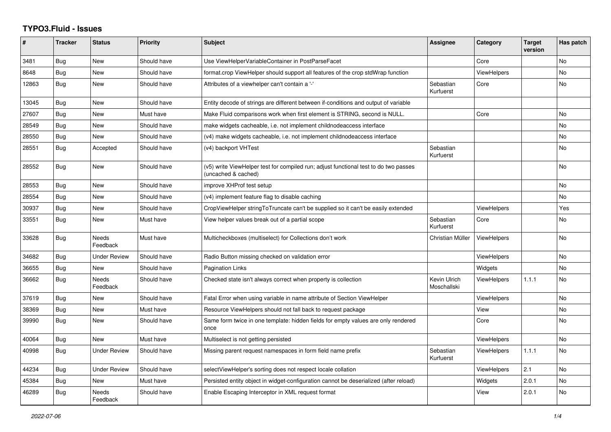## **TYPO3.Fluid - Issues**

| ∦     | <b>Tracker</b> | <b>Status</b>            | <b>Priority</b> | <b>Subject</b>                                                                                              | Assignee                    | Category           | <b>Target</b><br>version | Has patch |
|-------|----------------|--------------------------|-----------------|-------------------------------------------------------------------------------------------------------------|-----------------------------|--------------------|--------------------------|-----------|
| 3481  | <b>Bug</b>     | New                      | Should have     | Use ViewHelperVariableContainer in PostParseFacet                                                           |                             | Core               |                          | No        |
| 8648  | Bug            | New                      | Should have     | format.crop ViewHelper should support all features of the crop stdWrap function                             |                             | <b>ViewHelpers</b> |                          | <b>No</b> |
| 12863 | Bug            | New                      | Should have     | Attributes of a viewhelper can't contain a '-'                                                              | Sebastian<br>Kurfuerst      | Core               |                          | No        |
| 13045 | Bug            | New                      | Should have     | Entity decode of strings are different between if-conditions and output of variable                         |                             |                    |                          |           |
| 27607 | <b>Bug</b>     | New                      | Must have       | Make Fluid comparisons work when first element is STRING, second is NULL.                                   |                             | Core               |                          | <b>No</b> |
| 28549 | Bug            | New                      | Should have     | make widgets cacheable, i.e. not implement childnodeaccess interface                                        |                             |                    |                          | <b>No</b> |
| 28550 | Bug            | New                      | Should have     | (v4) make widgets cacheable, i.e. not implement childnodeaccess interface                                   |                             |                    |                          | No        |
| 28551 | Bug            | Accepted                 | Should have     | (v4) backport VHTest                                                                                        | Sebastian<br>Kurfuerst      |                    |                          | <b>No</b> |
| 28552 | Bug            | New                      | Should have     | (v5) write ViewHelper test for compiled run; adjust functional test to do two passes<br>(uncached & cached) |                             |                    |                          | <b>No</b> |
| 28553 | Bug            | New                      | Should have     | improve XHProf test setup                                                                                   |                             |                    |                          | <b>No</b> |
| 28554 | Bug            | New                      | Should have     | (v4) implement feature flag to disable caching                                                              |                             |                    |                          | No        |
| 30937 | Bug            | New                      | Should have     | CropViewHelper stringToTruncate can't be supplied so it can't be easily extended                            |                             | <b>ViewHelpers</b> |                          | Yes       |
| 33551 | Bug            | New                      | Must have       | View helper values break out of a partial scope                                                             | Sebastian<br>Kurfuerst      | Core               |                          | No        |
| 33628 | Bug            | <b>Needs</b><br>Feedback | Must have       | Multicheckboxes (multiselect) for Collections don't work                                                    | Christian Müller            | <b>ViewHelpers</b> |                          | <b>No</b> |
| 34682 | Bug            | <b>Under Review</b>      | Should have     | Radio Button missing checked on validation error                                                            |                             | <b>ViewHelpers</b> |                          | <b>No</b> |
| 36655 | Bug            | New                      | Should have     | <b>Pagination Links</b>                                                                                     |                             | Widgets            |                          | No        |
| 36662 | Bug            | <b>Needs</b><br>Feedback | Should have     | Checked state isn't always correct when property is collection                                              | Kevin Ulrich<br>Moschallski | <b>ViewHelpers</b> | 1.1.1                    | <b>No</b> |
| 37619 | <b>Bug</b>     | New                      | Should have     | Fatal Error when using variable in name attribute of Section ViewHelper                                     |                             | <b>ViewHelpers</b> |                          | <b>No</b> |
| 38369 | Bug            | New                      | Must have       | Resource ViewHelpers should not fall back to request package                                                |                             | View               |                          | No        |
| 39990 | Bug            | New                      | Should have     | Same form twice in one template: hidden fields for empty values are only rendered<br>once                   |                             | Core               |                          | <b>No</b> |
| 40064 | Bug            | New                      | Must have       | Multiselect is not getting persisted                                                                        |                             | <b>ViewHelpers</b> |                          | <b>No</b> |
| 40998 | Bug            | Under Review             | Should have     | Missing parent request namespaces in form field name prefix                                                 | Sebastian<br>Kurfuerst      | <b>ViewHelpers</b> | 1.1.1                    | No        |
| 44234 | Bug            | <b>Under Review</b>      | Should have     | selectViewHelper's sorting does not respect locale collation                                                |                             | <b>ViewHelpers</b> | 2.1                      | <b>No</b> |
| 45384 | <b>Bug</b>     | New                      | Must have       | Persisted entity object in widget-configuration cannot be deserialized (after reload)                       |                             | Widgets            | 2.0.1                    | <b>No</b> |
| 46289 | <b>Bug</b>     | <b>Needs</b><br>Feedback | Should have     | Enable Escaping Interceptor in XML request format                                                           |                             | View               | 2.0.1                    | <b>No</b> |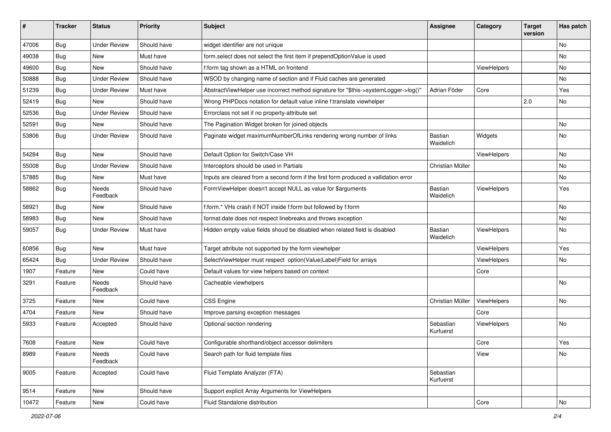| #     | <b>Tracker</b> | <b>Status</b>       | <b>Priority</b> | <b>Subject</b>                                                                       | <b>Assignee</b>             | Category    | <b>Target</b><br>version | Has patch |
|-------|----------------|---------------------|-----------------|--------------------------------------------------------------------------------------|-----------------------------|-------------|--------------------------|-----------|
| 47006 | Bug            | <b>Under Review</b> | Should have     | widget identifier are not unique                                                     |                             |             |                          | <b>No</b> |
| 49038 | Bug            | New                 | Must have       | form.select does not select the first item if prependOptionValue is used             |                             |             |                          | No        |
| 49600 | Bug            | <b>New</b>          | Should have     | f:form tag shown as a HTML on frontend                                               |                             | ViewHelpers |                          | No        |
| 50888 | <b>Bug</b>     | <b>Under Review</b> | Should have     | WSOD by changing name of section and if Fluid caches are generated                   |                             |             |                          | <b>No</b> |
| 51239 | Bug            | <b>Under Review</b> | Must have       | AbstractViewHelper use incorrect method signature for "\$this->systemLogger->log()"  | Adrian Föder                | Core        |                          | Yes       |
| 52419 | Bug            | New                 | Should have     | Wrong PHPDocs notation for default value inline f:translate viewhelper               |                             |             | 2.0                      | <b>No</b> |
| 52536 | Bug            | <b>Under Review</b> | Should have     | Errorclass not set if no property-attribute set                                      |                             |             |                          |           |
| 52591 | Bug            | New                 | Should have     | The Pagination Widget broken for joined objects                                      |                             |             |                          | No        |
| 53806 | Bug            | <b>Under Review</b> | Should have     | Paginate widget maximumNumberOfLinks rendering wrong number of links                 | Bastian<br>Waidelich        | Widgets     |                          | No        |
| 54284 | Bug            | <b>New</b>          | Should have     | Default Option for Switch/Case VH                                                    |                             | ViewHelpers |                          | <b>No</b> |
| 55008 | Bug            | <b>Under Review</b> | Should have     | Interceptors should be used in Partials                                              | Christian Müller            |             |                          | No        |
| 57885 | Bug            | New                 | Must have       | Inputs are cleared from a second form if the first form produced a vallidation error |                             |             |                          | No        |
| 58862 | Bug            | Needs<br>Feedback   | Should have     | FormViewHelper doesn't accept NULL as value for \$arguments                          | <b>Bastian</b><br>Waidelich | ViewHelpers |                          | Yes       |
| 58921 | Bug            | New                 | Should have     | f:form.* VHs crash if NOT inside f:form but followed by f:form                       |                             |             |                          | <b>No</b> |
| 58983 | Bug            | New                 | Should have     | format.date does not respect linebreaks and throws exception                         |                             |             |                          | No        |
| 59057 | Bug            | <b>Under Review</b> | Must have       | Hidden empty value fields shoud be disabled when related field is disabled           | Bastian<br>Waidelich        | ViewHelpers |                          | No        |
| 60856 | Bug            | <b>New</b>          | Must have       | Target attribute not supported by the form viewhelper                                |                             | ViewHelpers |                          | Yes       |
| 65424 | Bug            | <b>Under Review</b> | Should have     | SelectViewHelper must respect option(Value Label)Field for arrays                    |                             | ViewHelpers |                          | No        |
| 1907  | Feature        | New                 | Could have      | Default values for view helpers based on context                                     |                             | Core        |                          |           |
| 3291  | Feature        | Needs<br>Feedback   | Should have     | Cacheable viewhelpers                                                                |                             |             |                          | <b>No</b> |
| 3725  | Feature        | <b>New</b>          | Could have      | <b>CSS Engine</b>                                                                    | Christian Müller            | ViewHelpers |                          | <b>No</b> |
| 4704  | Feature        | New                 | Should have     | Improve parsing exception messages                                                   |                             | Core        |                          |           |
| 5933  | Feature        | Accepted            | Should have     | Optional section rendering                                                           | Sebastian<br>Kurfuerst      | ViewHelpers |                          | No        |
| 7608  | Feature        | New                 | Could have      | Configurable shorthand/object accessor delimiters                                    |                             | Core        |                          | Yes       |
| 8989  | Feature        | Needs<br>Feedback   | Could have      | Search path for fluid template files                                                 |                             | View        |                          | No        |
| 9005  | Feature        | Accepted            | Could have      | Fluid Template Analyzer (FTA)                                                        | Sebastian<br>Kurfuerst      |             |                          |           |
| 9514  | Feature        | New                 | Should have     | Support explicit Array Arguments for ViewHelpers                                     |                             |             |                          |           |
| 10472 | Feature        | New                 | Could have      | Fluid Standalone distribution                                                        |                             | Core        |                          | No        |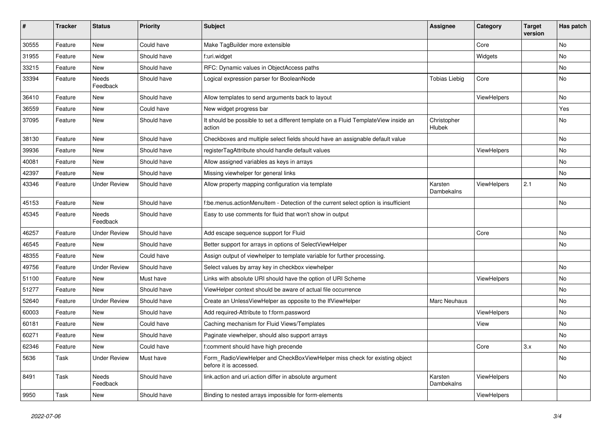| $\#$  | <b>Tracker</b> | <b>Status</b>       | <b>Priority</b> | <b>Subject</b>                                                                                       | <b>Assignee</b>       | Category    | <b>Target</b><br>version | Has patch |
|-------|----------------|---------------------|-----------------|------------------------------------------------------------------------------------------------------|-----------------------|-------------|--------------------------|-----------|
| 30555 | Feature        | New                 | Could have      | Make TagBuilder more extensible                                                                      |                       | Core        |                          | <b>No</b> |
| 31955 | Feature        | New                 | Should have     | f:uri.widget                                                                                         |                       | Widgets     |                          | No        |
| 33215 | Feature        | New                 | Should have     | RFC: Dynamic values in ObjectAccess paths                                                            |                       |             |                          | No        |
| 33394 | Feature        | Needs<br>Feedback   | Should have     | Logical expression parser for BooleanNode                                                            | <b>Tobias Liebig</b>  | Core        |                          | No        |
| 36410 | Feature        | New                 | Should have     | Allow templates to send arguments back to layout                                                     |                       | ViewHelpers |                          | No        |
| 36559 | Feature        | New                 | Could have      | New widget progress bar                                                                              |                       |             |                          | Yes       |
| 37095 | Feature        | New                 | Should have     | It should be possible to set a different template on a Fluid TemplateView inside an<br>action        | Christopher<br>Hlubek |             |                          | No        |
| 38130 | Feature        | New                 | Should have     | Checkboxes and multiple select fields should have an assignable default value                        |                       |             |                          | No        |
| 39936 | Feature        | New                 | Should have     | registerTagAttribute should handle default values                                                    |                       | ViewHelpers |                          | No        |
| 40081 | Feature        | New                 | Should have     | Allow assigned variables as keys in arrays                                                           |                       |             |                          | No        |
| 42397 | Feature        | New                 | Should have     | Missing viewhelper for general links                                                                 |                       |             |                          | No        |
| 43346 | Feature        | <b>Under Review</b> | Should have     | Allow property mapping configuration via template                                                    | Karsten<br>Dambekalns | ViewHelpers | 2.1                      | No        |
| 45153 | Feature        | New                 | Should have     | f:be.menus.actionMenuItem - Detection of the current select option is insufficient                   |                       |             |                          | No        |
| 45345 | Feature        | Needs<br>Feedback   | Should have     | Easy to use comments for fluid that won't show in output                                             |                       |             |                          |           |
| 46257 | Feature        | <b>Under Review</b> | Should have     | Add escape sequence support for Fluid                                                                |                       | Core        |                          | No        |
| 46545 | Feature        | New                 | Should have     | Better support for arrays in options of SelectViewHelper                                             |                       |             |                          | No        |
| 48355 | Feature        | New                 | Could have      | Assign output of viewhelper to template variable for further processing.                             |                       |             |                          |           |
| 49756 | Feature        | <b>Under Review</b> | Should have     | Select values by array key in checkbox viewhelper                                                    |                       |             |                          | No        |
| 51100 | Feature        | New                 | Must have       | Links with absolute URI should have the option of URI Scheme                                         |                       | ViewHelpers |                          | No        |
| 51277 | Feature        | New                 | Should have     | ViewHelper context should be aware of actual file occurrence                                         |                       |             |                          | No        |
| 52640 | Feature        | <b>Under Review</b> | Should have     | Create an UnlessViewHelper as opposite to the IfViewHelper                                           | Marc Neuhaus          |             |                          | No        |
| 60003 | Feature        | New                 | Should have     | Add required-Attribute to f:form.password                                                            |                       | ViewHelpers |                          | No        |
| 60181 | Feature        | New                 | Could have      | Caching mechanism for Fluid Views/Templates                                                          |                       | View        |                          | No        |
| 60271 | Feature        | New                 | Should have     | Paginate viewhelper, should also support arrays                                                      |                       |             |                          | No        |
| 62346 | Feature        | New                 | Could have      | f:comment should have high precende                                                                  |                       | Core        | 3.x                      | No        |
| 5636  | Task           | <b>Under Review</b> | Must have       | Form_RadioViewHelper and CheckBoxViewHelper miss check for existing object<br>before it is accessed. |                       |             |                          | No        |
| 8491  | Task           | Needs<br>Feedback   | Should have     | link.action and uri.action differ in absolute argument                                               | Karsten<br>Dambekalns | ViewHelpers |                          | No        |
| 9950  | Task           | New                 | Should have     | Binding to nested arrays impossible for form-elements                                                |                       | ViewHelpers |                          |           |